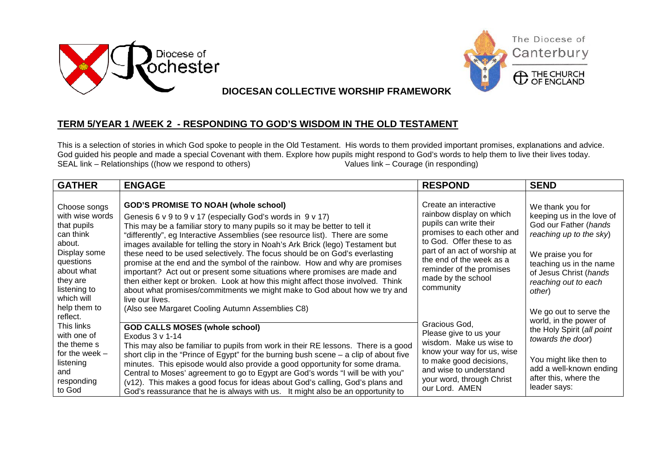



**DIOCESAN COLLECTIVE WORSHIP FRAMEWORK**

## **TERM 5/YEAR 1 /WEEK 2 - RESPONDING TO GOD'S WISDOM IN THE OLD TESTAMENT**

This is a selection of stories in which God spoke to people in the Old Testament. His words to them provided important promises, explanations and advice. God guided his people and made a special Covenant with them. Explore how pupils might respond to God's words to help them to live their lives today.<br>SEAL link – Relationships ((how we respond to others)<br>Values link – Coura  $SEAL$  link – Relationships ((how we respond to others)

| <b>GATHER</b>                                                                                                                                              | <b>ENGAGE</b>                                                                                                                                                                                                                                                                                                                                                                                                                                                                                                                                                                                                                                                                                                                                                                           | <b>RESPOND</b>                                                                                                                                                                                                                                                    | <b>SEND</b>                                                                                                                                                                                                   |
|------------------------------------------------------------------------------------------------------------------------------------------------------------|-----------------------------------------------------------------------------------------------------------------------------------------------------------------------------------------------------------------------------------------------------------------------------------------------------------------------------------------------------------------------------------------------------------------------------------------------------------------------------------------------------------------------------------------------------------------------------------------------------------------------------------------------------------------------------------------------------------------------------------------------------------------------------------------|-------------------------------------------------------------------------------------------------------------------------------------------------------------------------------------------------------------------------------------------------------------------|---------------------------------------------------------------------------------------------------------------------------------------------------------------------------------------------------------------|
| Choose songs<br>with wise words<br>that pupils<br>can think<br>about.<br>Display some<br>questions<br>about what<br>they are<br>listening to<br>which will | <b>GOD'S PROMISE TO NOAH (whole school)</b><br>Genesis 6 v 9 to 9 v 17 (especially God's words in 9 v 17)<br>This may be a familiar story to many pupils so it may be better to tell it<br>"differently", eg Interactive Assemblies (see resource list). There are some<br>images available for telling the story in Noah's Ark Brick (lego) Testament but<br>these need to be used selectively. The focus should be on God's everlasting<br>promise at the end and the symbol of the rainbow. How and why are promises<br>important? Act out or present some situations where promises are made and<br>then either kept or broken. Look at how this might affect those involved. Think<br>about what promises/commitments we might make to God about how we try and<br>live our lives. | Create an interactive<br>rainbow display on which<br>pupils can write their<br>promises to each other and<br>to God. Offer these to as<br>part of an act of worship at<br>the end of the week as a<br>reminder of the promises<br>made by the school<br>community | We thank you for<br>keeping us in the love of<br>God our Father (hands<br>reaching up to the sky)<br>We praise you for<br>teaching us in the name<br>of Jesus Christ (hands<br>reaching out to each<br>other) |
| help them to<br>reflect.<br>This links<br>with one of<br>the theme s<br>for the week $-$<br>listening<br>and<br>responding<br>to God                       | (Also see Margaret Cooling Autumn Assemblies C8)<br><b>GOD CALLS MOSES (whole school)</b><br>Exodus $3 \vee 1-14$<br>This may also be familiar to pupils from work in their RE lessons. There is a good<br>short clip in the "Prince of Egypt" for the burning bush scene $-$ a clip of about five<br>minutes. This episode would also provide a good opportunity for some drama.<br>Central to Moses' agreement to go to Egypt are God's words "I will be with you"<br>(v12). This makes a good focus for ideas about God's calling, God's plans and<br>God's reassurance that he is always with us. It might also be an opportunity to                                                                                                                                                | Gracious God,<br>Please give to us your<br>wisdom. Make us wise to<br>know your way for us, wise<br>to make good decisions,<br>and wise to understand<br>your word, through Christ<br>our Lord. AMEN                                                              | We go out to serve the<br>world, in the power of<br>the Holy Spirit (all point<br>towards the door)<br>You might like then to<br>add a well-known ending<br>after this, where the<br>leader says:             |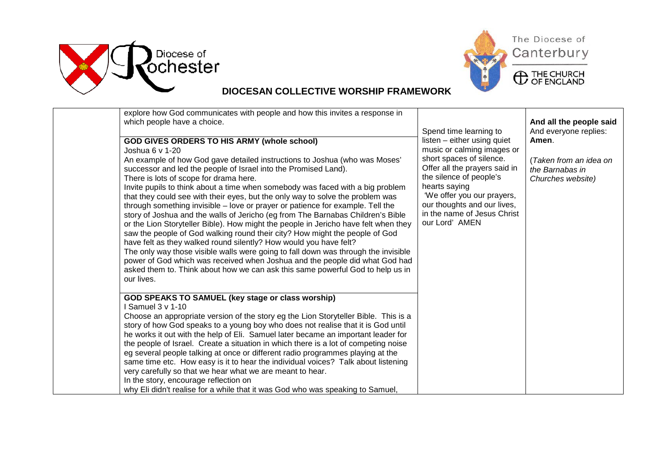



## **DIOCESAN COLLECTIVE WORSHIP FRAMEWORK**

| explore how God communicates with people and how this invites a response in<br>which people have a choice.                                                                                                                                                                                                                                                                                                                                                                                                                                                                                                                                                                                                                                                                                                                                                                                                                                                                                                                                                                                                                | Spend time learning to                                                                                                                                                                                                                                                           | And all the people said<br>And everyone replies:               |
|---------------------------------------------------------------------------------------------------------------------------------------------------------------------------------------------------------------------------------------------------------------------------------------------------------------------------------------------------------------------------------------------------------------------------------------------------------------------------------------------------------------------------------------------------------------------------------------------------------------------------------------------------------------------------------------------------------------------------------------------------------------------------------------------------------------------------------------------------------------------------------------------------------------------------------------------------------------------------------------------------------------------------------------------------------------------------------------------------------------------------|----------------------------------------------------------------------------------------------------------------------------------------------------------------------------------------------------------------------------------------------------------------------------------|----------------------------------------------------------------|
| <b>GOD GIVES ORDERS TO HIS ARMY (whole school)</b><br>Joshua 6 v 1-20<br>An example of how God gave detailed instructions to Joshua (who was Moses'<br>successor and led the people of Israel into the Promised Land).<br>There is lots of scope for drama here.<br>Invite pupils to think about a time when somebody was faced with a big problem<br>that they could see with their eyes, but the only way to solve the problem was<br>through something invisible – love or prayer or patience for example. Tell the<br>story of Joshua and the walls of Jericho (eg from The Barnabas Children's Bible<br>or the Lion Storyteller Bible). How might the people in Jericho have felt when they<br>saw the people of God walking round their city? How might the people of God<br>have felt as they walked round silently? How would you have felt?<br>The only way those visible walls were going to fall down was through the invisible<br>power of God which was received when Joshua and the people did what God had<br>asked them to. Think about how we can ask this same powerful God to help us in<br>our lives. | listen – either using quiet<br>music or calming images or<br>short spaces of silence.<br>Offer all the prayers said in<br>the silence of people's<br>hearts saying<br>'We offer you our prayers,<br>our thoughts and our lives,<br>in the name of Jesus Christ<br>our Lord' AMEN | (Taken from an idea on<br>the Barnabas in<br>Churches website) |
| GOD SPEAKS TO SAMUEL (key stage or class worship)<br>I Samuel 3 v 1-10<br>Choose an appropriate version of the story eg the Lion Storyteller Bible. This is a<br>story of how God speaks to a young boy who does not realise that it is God until<br>he works it out with the help of Eli. Samuel later became an important leader for<br>the people of Israel. Create a situation in which there is a lot of competing noise<br>eg several people talking at once or different radio programmes playing at the<br>same time etc. How easy is it to hear the individual voices? Talk about listening<br>very carefully so that we hear what we are meant to hear.<br>In the story, encourage reflection on<br>why Eli didn't realise for a while that it was God who was speaking to Samuel,                                                                                                                                                                                                                                                                                                                              |                                                                                                                                                                                                                                                                                  |                                                                |